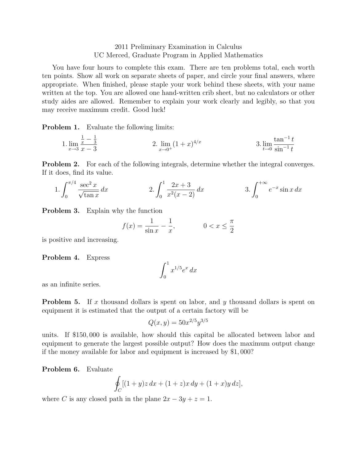## 2011 Preliminary Examination in Calculus UC Merced, Graduate Program in Applied Mathematics

You have four hours to complete this exam. There are ten problems total, each worth ten points. Show all work on separate sheets of paper, and circle your final answers, where appropriate. When finished, please staple your work behind these sheets, with your name written at the top. You are allowed one hand-written crib sheet, but no calculators or other study aides are allowed. Remember to explain your work clearly and legibly, so that you may receive maximum credit. Good luck!

**Problem 1.** Evaluate the following limits:

1. 
$$
\lim_{x \to 3} \frac{\frac{1}{x} - \frac{1}{3}}{x - 3}
$$
 2. 
$$
\lim_{x \to 0^+} (1 + x)^{4/x}
$$
 3. 
$$
\lim_{t \to 0} \frac{\tan^{-1} t}{\sin^{-1} t}
$$

Problem 2. For each of the following integrals, determine whether the integral converges. If it does, find its value.

1. 
$$
\int_0^{\pi/4} \frac{\sec^2 x}{\sqrt{\tan x}} dx
$$
 2. 
$$
\int_0^1 \frac{2x+3}{x^2(x-2)} dx
$$
 3. 
$$
\int_0^{+\infty} e^{-x} \sin x dx
$$

Problem 3. Explain why the function

$$
f(x) = \frac{1}{\sin x} - \frac{1}{x}, \qquad 0 < x \le \frac{\pi}{2}
$$

is positive and increasing.

## Problem 4. Express

$$
\int_0^1 x^{1/5} e^x \, dx
$$

as an infinite series.

**Problem 5.** If x thousand dollars is spent on labor, and y thousand dollars is spent on equipment it is estimated that the output of a certain factory will be

$$
Q(x, y) = 50x^{2/5}y^{3/5}
$$

units. If \$150, 000 is available, how should this capital be allocated between labor and equipment to generate the largest possible output? How does the maximum output change if the money available for labor and equipment is increased by \$1, 000?

Problem 6. Evaluate

$$
\oint_C [(1+y)z \, dx + (1+z)x \, dy + (1+x)y \, dz],
$$

where C is any closed path in the plane  $2x - 3y + z = 1$ .